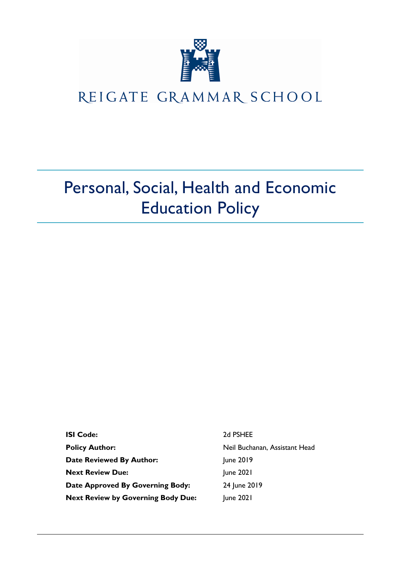

## REIGATE GRAMMAR SCHOOL

# Personal, Social, Health and Economic Education Policy

| <b>ISI Code:</b>                          | 2d PSHEE                      |
|-------------------------------------------|-------------------------------|
| <b>Policy Author:</b>                     | Neil Buchanan, Assistant Head |
| <b>Date Reviewed By Author:</b>           | June 2019                     |
| <b>Next Review Due:</b>                   | June 2021                     |
| Date Approved By Governing Body:          | 24 June 2019                  |
| <b>Next Review by Governing Body Due:</b> | June 2021                     |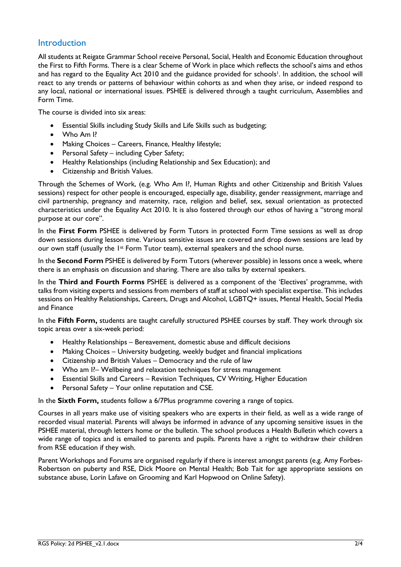## **Introduction**

All students at Reigate Grammar School receive Personal, Social, Health and Economic Education throughout the First to Fifth Forms. There is a clear Scheme of Work in place which reflects the school's aims and ethos and has regard to the Equality Act 2010 and the guidance provided for schools<sup>1</sup>. In addition, the school will react to any trends or patterns of behaviour within cohorts as and when they arise, or indeed respond to any local, national or international issues. PSHEE is delivered through a taught curriculum, Assemblies and Form Time.

The course is divided into six areas:

- Essential Skills including Study Skills and Life Skills such as budgeting;
- Who Am I?
- Making Choices Careers, Finance, Healthy lifestyle;
- Personal Safety including Cyber Safety;
- Healthy Relationships (including Relationship and Sex Education); and
- Citizenship and British Values.

Through the Schemes of Work, (e.g. Who Am I?, Human Rights and other Citizenship and British Values sessions) respect for other people is encouraged, especially age, disability, gender reassignment, marriage and civil partnership, pregnancy and maternity, race, religion and belief, sex, sexual orientation as protected characteristics under the Equality Act 2010. It is also fostered through our ethos of having a "strong moral purpose at our core".

In the **First Form** PSHEE is delivered by Form Tutors in protected Form Time sessions as well as drop down sessions during lesson time. Various sensitive issues are covered and drop down sessions are lead by our own staff (usually the 1<sup>st</sup> Form Tutor team), external speakers and the school nurse.

In the **Second Form** PSHEE is delivered by Form Tutors (wherever possible) in lessons once a week, where there is an emphasis on discussion and sharing. There are also talks by external speakers.

In the **Third and Fourth Forms** PSHEE is delivered as a component of the 'Electives' programme, with talks from visiting experts and sessions from members of staff at school with specialist expertise. This includes sessions on Healthy Relationships, Careers, Drugs and Alcohol, LGBTQ+ issues, Mental Health, Social Media and Finance

In the **Fifth Form,** students are taught carefully structured PSHEE courses by staff. They work through six topic areas over a six-week period:

- Healthy Relationships Bereavement, domestic abuse and difficult decisions
- Making Choices University budgeting, weekly budget and financial implications
- Citizenship and British Values Democracy and the rule of law
- Who am I?– Wellbeing and relaxation techniques for stress management
- Essential Skills and Careers Revision Techniques, CV Writing, Higher Education
- Personal Safety Your online reputation and CSE.

In the **Sixth Form,** students follow a 6/7Plus programme covering a range of topics.

Courses in all years make use of visiting speakers who are experts in their field, as well as a wide range of recorded visual material. Parents will always be informed in advance of any upcoming sensitive issues in the PSHEE material, through letters home or the bulletin. The school produces a Health Bulletin which covers a wide range of topics and is emailed to parents and pupils. Parents have a right to withdraw their children from RSE education if they wish.

Parent Workshops and Forums are organised regularly if there is interest amongst parents (e.g. Amy Forbes-Robertson on puberty and RSE, Dick Moore on Mental Health; Bob Tait for age appropriate sessions on substance abuse, Lorin Lafave on Grooming and Karl Hopwood on Online Safety).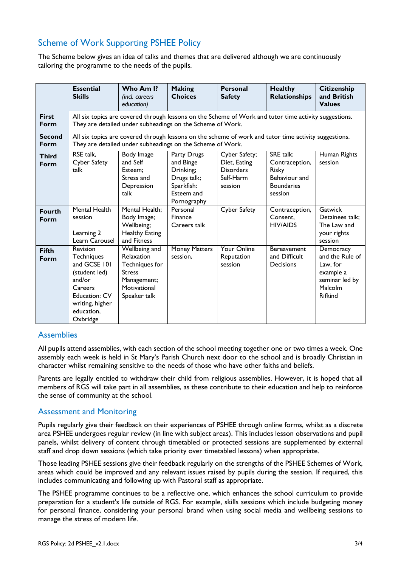## Scheme of Work Supporting PSHEE Policy

The Scheme below gives an idea of talks and themes that are delivered although we are continuously tailoring the programme to the needs of the pupils.

|                       | <b>Essential</b><br><b>Skills</b>                                                                                                                                   | Who Am I?<br>(incl. careers<br>education)                                                                     | <b>Making</b><br><b>Choices</b>                                                                 | <b>Personal</b><br><b>Safety</b>                                          | <b>Healthy</b><br><b>Relationships</b>                                                | <b>Citizenship</b><br>and British<br><b>Values</b>                                                   |  |
|-----------------------|---------------------------------------------------------------------------------------------------------------------------------------------------------------------|---------------------------------------------------------------------------------------------------------------|-------------------------------------------------------------------------------------------------|---------------------------------------------------------------------------|---------------------------------------------------------------------------------------|------------------------------------------------------------------------------------------------------|--|
| <b>First</b><br>Form  | All six topics are covered through lessons on the Scheme of Work and tutor time activity suggestions.<br>They are detailed under subheadings on the Scheme of Work. |                                                                                                               |                                                                                                 |                                                                           |                                                                                       |                                                                                                      |  |
| <b>Second</b><br>Form | All six topics are covered through lessons on the scheme of work and tutor time activity suggestions.<br>They are detailed under subheadings on the Scheme of Work. |                                                                                                               |                                                                                                 |                                                                           |                                                                                       |                                                                                                      |  |
| <b>Third</b><br>Form  | RSE talk,<br><b>Cyber Safety</b><br>talk                                                                                                                            | Body Image<br>and Self<br>Esteem:<br>Stress and<br>Depression<br>talk                                         | Party Drugs<br>and Binge<br>Drinking;<br>Drugs talk;<br>Sparkfish:<br>Esteem and<br>Pornography | Cyber Safety;<br>Diet, Eating<br><b>Disorders</b><br>Self-Harm<br>session | SRE talk;<br>Contraception,<br>Risky<br>Behaviour and<br><b>Boundaries</b><br>session | Human Rights<br>session                                                                              |  |
| <b>Fourth</b><br>Form | Mental Health<br>session<br>Learning 2<br>Learn Carousel                                                                                                            | Mental Health;<br>Body Image;<br>Wellbeing;<br><b>Healthy Eating</b><br>and Fitness                           | Personal<br>Finance<br>Careers talk                                                             | Cyber Safety                                                              | Contraception,<br>Consent.<br><b>HIV/AIDS</b>                                         | Gatwick<br>Detainees talk:<br>The Law and<br>your rights<br>session                                  |  |
| <b>Fifth</b><br>Form  | Revision<br>Techniques<br>and GCSE 101<br>(student led)<br>and/or<br>Careers<br><b>Education: CV</b><br>writing, higher<br>education,<br>Oxbridge                   | Wellbeing and<br>Relaxation<br>Techniques for<br><b>Stress</b><br>Management;<br>Motivational<br>Speaker talk | <b>Money Matters</b><br>session,                                                                | <b>Your Online</b><br>Reputation<br>session                               | <b>Bereavement</b><br>and Difficult<br>Decisions                                      | Democracy<br>and the Rule of<br>Law, for<br>example a<br>seminar led by<br>Malcolm<br><b>Rifkind</b> |  |

### **Assemblies**

All pupils attend assemblies, with each section of the school meeting together one or two times a week. One assembly each week is held in St Mary's Parish Church next door to the school and is broadly Christian in character whilst remaining sensitive to the needs of those who have other faiths and beliefs.

Parents are legally entitled to withdraw their child from religious assemblies. However, it is hoped that all members of RGS will take part in all assemblies, as these contribute to their education and help to reinforce the sense of community at the school.

### Assessment and Monitoring

Pupils regularly give their feedback on their experiences of PSHEE through online forms, whilst as a discrete area PSHEE undergoes regular review (in line with subject areas). This includes lesson observations and pupil panels, whilst delivery of content through timetabled or protected sessions are supplemented by external staff and drop down sessions (which take priority over timetabled lessons) when appropriate.

Those leading PSHEE sessions give their feedback regularly on the strengths of the PSHEE Schemes of Work, areas which could be improved and any relevant issues raised by pupils during the session. If required, this includes communicating and following up with Pastoral staff as appropriate.

The PSHEE programme continues to be a reflective one, which enhances the school curriculum to provide preparation for a student's life outside of RGS. For example, skills sessions which include budgeting money for personal finance, considering your personal brand when using social media and wellbeing sessions to manage the stress of modern life.